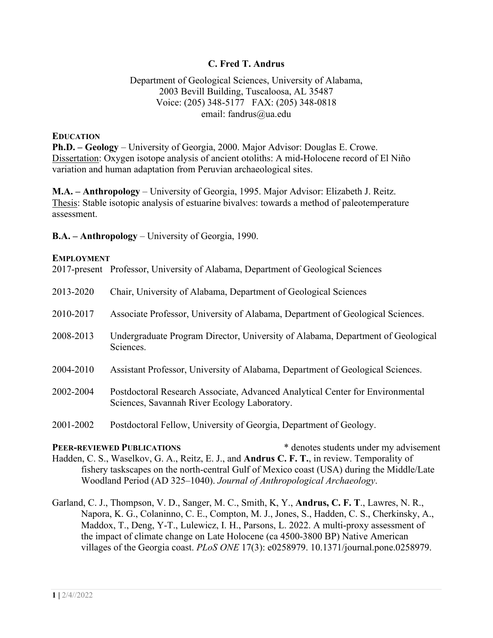#### **C. Fred T. Andrus**

#### Department of Geological Sciences, University of Alabama, 2003 Bevill Building, Tuscaloosa, AL 35487 Voice: (205) 348-5177 FAX: (205) 348-0818 email: fandrus@ua.edu

#### **EDUCATION**

**Ph.D. – Geology** – University of Georgia, 2000. Major Advisor: Douglas E. Crowe. Dissertation: Oxygen isotope analysis of ancient otoliths: A mid-Holocene record of El Niño variation and human adaptation from Peruvian archaeological sites.

**M.A. – Anthropology** – University of Georgia, 1995. Major Advisor: Elizabeth J. Reitz. Thesis: Stable isotopic analysis of estuarine bivalves: towards a method of paleotemperature assessment.

**B.A. – Anthropology** – University of Georgia, 1990.

#### **EMPLOYMENT**

2017-present Professor, University of Alabama, Department of Geological Sciences

| 2013-2020 | Chair, University of Alabama, Department of Geological Sciences                                                               |
|-----------|-------------------------------------------------------------------------------------------------------------------------------|
| 2010-2017 | Associate Professor, University of Alabama, Department of Geological Sciences.                                                |
| 2008-2013 | Undergraduate Program Director, University of Alabama, Department of Geological<br>Sciences.                                  |
| 2004-2010 | Assistant Professor, University of Alabama, Department of Geological Sciences.                                                |
| 2002-2004 | Postdoctoral Research Associate, Advanced Analytical Center for Environmental<br>Sciences, Savannah River Ecology Laboratory. |

2001-2002 Postdoctoral Fellow, University of Georgia, Department of Geology.

**PEER-REVIEWED PUBLICATIONS** \* denotes students under my advisement Hadden, C. S., Waselkov, G. A., Reitz, E. J., and **Andrus C. F. T.**, in review. Temporality of fishery taskscapes on the north-central Gulf of Mexico coast (USA) during the Middle/Late Woodland Period (AD 325–1040). *Journal of Anthropological Archaeology*.

Garland, C. J., Thompson, V. D., Sanger, M. C., Smith, K, Y., **Andrus, C. F. T**., Lawres, N. R., Napora, K. G., Colaninno, C. E., Compton, M. J., Jones, S., Hadden, C. S., Cherkinsky, A., Maddox, T., Deng, Y-T., Lulewicz, I. H., Parsons, L. 2022. A multi-proxy assessment of the impact of climate change on Late Holocene (ca 4500-3800 BP) Native American villages of the Georgia coast. *PLoS ONE* 17(3): e0258979. 10.1371/journal.pone.0258979.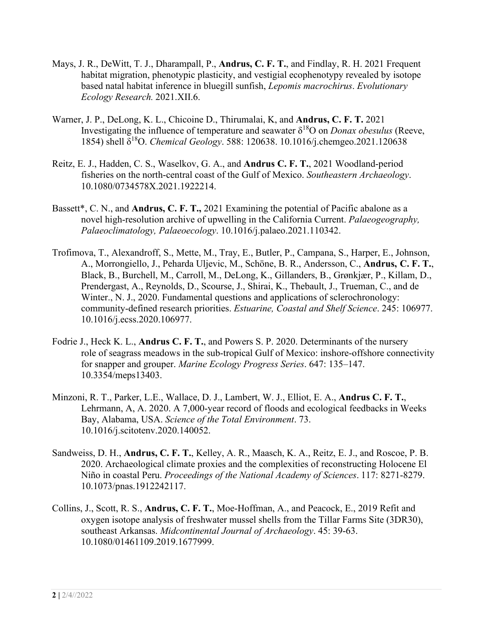- Mays, J. R., DeWitt, T. J., Dharampall, P., **Andrus, C. F. T.**, and Findlay, R. H. 2021 Frequent habitat migration, phenotypic plasticity, and vestigial ecophenotypy revealed by isotope based natal habitat inference in bluegill sunfish, *Lepomis macrochirus*. *Evolutionary Ecology Research.* 2021.XII.6.
- Warner, J. P., DeLong, K. L., Chicoine D., Thirumalai, K, and **Andrus, C. F. T.** 2021 Investigating the influence of temperature and seawater δ18O on *Donax obesulus* (Reeve, 1854) shell δ18O. *Chemical Geology*. 588: 120638. 10.1016/j.chemgeo.2021.120638
- Reitz, E. J., Hadden, C. S., Waselkov, G. A., and **Andrus C. F. T.**, 2021 Woodland-period fisheries on the north-central coast of the Gulf of Mexico. *Southeastern Archaeology*. 10.1080/0734578X.2021.1922214.
- Bassett\*, C. N., and **Andrus, C. F. T.,** 2021 Examining the potential of Pacific abalone as a novel high-resolution archive of upwelling in the California Current. *Palaeogeography, Palaeoclimatology, Palaeoecology*. 10.1016/j.palaeo.2021.110342.
- Trofimova, T., Alexandroff, S., Mette, M., Tray, E., Butler, P., Campana, S., Harper, E., Johnson, A., Morrongiello, J., Peharda Uljevic, M., Schöne, B. R., Andersson, C., **Andrus, C. F. T.**, Black, B., Burchell, M., Carroll, M., DeLong, K., Gillanders, B., Grønkjær, P., Killam, D., Prendergast, A., Reynolds, D., Scourse, J., Shirai, K., Thebault, J., Trueman, C., and de Winter., N. J., 2020. Fundamental questions and applications of sclerochronology: community-defined research priorities. *Estuarine, Coastal and Shelf Science*. 245: 106977. 10.1016/j.ecss.2020.106977.
- Fodrie J., Heck K. L., **Andrus C. F. T.**, and Powers S. P. 2020. Determinants of the nursery role of seagrass meadows in the sub-tropical Gulf of Mexico: inshore-offshore connectivity for snapper and grouper. *Marine Ecology Progress Series*. 647: 135–147. 10.3354/meps13403.
- Minzoni, R. T., Parker, L.E., Wallace, D. J., Lambert, W. J., Elliot, E. A., **Andrus C. F. T.**, Lehrmann, A, A. 2020. A 7,000-year record of floods and ecological feedbacks in Weeks Bay, Alabama, USA. *Science of the Total Environment*. 73. 10.1016/j.scitotenv.2020.140052.
- Sandweiss, D. H., **Andrus, C. F. T.**, Kelley, A. R., Maasch, K. A., Reitz, E. J., and Roscoe, P. B. 2020. Archaeological climate proxies and the complexities of reconstructing Holocene El Niño in coastal Peru. *Proceedings of the National Academy of Sciences*. 117: 8271-8279. 10.1073/pnas.1912242117.
- Collins, J., Scott, R. S., **Andrus, C. F. T.**, Moe-Hoffman, A., and Peacock, E., 2019 Refit and oxygen isotope analysis of freshwater mussel shells from the Tillar Farms Site (3DR30), southeast Arkansas. *Midcontinental Journal of Archaeology*. 45: 39-63. 10.1080/01461109.2019.1677999.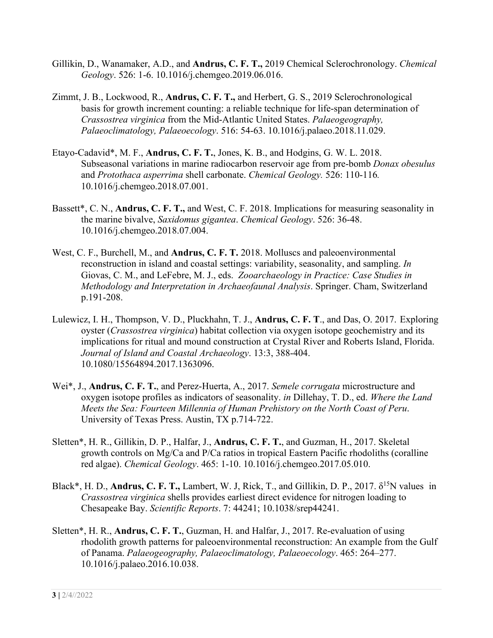- Gillikin, D., Wanamaker, A.D., and **Andrus, C. F. T.,** 2019 Chemical Sclerochronology. *Chemical Geology*. 526: 1-6. 10.1016/j.chemgeo.2019.06.016.
- Zimmt, J. B., Lockwood, R., **Andrus, C. F. T.,** and Herbert, G. S., 2019 Sclerochronological basis for growth increment counting: a reliable technique for life-span determination of *Crassostrea virginica* from the Mid-Atlantic United States. *Palaeogeography, Palaeoclimatology, Palaeoecology*. 516: 54-63. 10.1016/j.palaeo.2018.11.029.
- Etayo-Cadavid\*, M. F., **Andrus, C. F. T.**, Jones, K. B., and Hodgins, G. W. L. 2018. Subseasonal variations in marine radiocarbon reservoir age from pre-bomb *Donax obesulus* and *Protothaca asperrima* shell carbonate. *Chemical Geology.* 526: 110-116*.* 10.1016/j.chemgeo.2018.07.001.
- Bassett\*, C. N., **Andrus, C. F. T.,** and West, C. F. 2018. Implications for measuring seasonality in the marine bivalve, *Saxidomus gigantea*. *Chemical Geology*. 526: 36-48. 10.1016/j.chemgeo.2018.07.004.
- West, C. F., Burchell, M., and **Andrus, C. F. T.** 2018. Molluscs and paleoenvironmental reconstruction in island and coastal settings: variability, seasonality, and sampling. *In* Giovas, C. M., and LeFebre, M. J., eds. *Zooarchaeology in Practice: Case Studies in Methodology and Interpretation in Archaeofaunal Analysis*. Springer. Cham, Switzerland p.191-208.
- Lulewicz, I. H., Thompson, V. D., Pluckhahn, T. J., **Andrus, C. F. T**., and Das, O. 2017. Exploring oyster (*Crassostrea virginica*) habitat collection via oxygen isotope geochemistry and its implications for ritual and mound construction at Crystal River and Roberts Island, Florida. *Journal of Island and Coastal Archaeology*. 13:3, 388-404. 10.1080/15564894.2017.1363096.
- Wei\*, J., **Andrus, C. F. T.**, and Perez-Huerta, A., 2017. *Semele corrugata* microstructure and oxygen isotope profiles as indicators of seasonality. *in* Dillehay, T. D., ed. *Where the Land Meets the Sea: Fourteen Millennia of Human Prehistory on the North Coast of Peru*. University of Texas Press. Austin, TX p.714-722.
- Sletten\*, H. R., Gillikin, D. P., Halfar, J., **Andrus, C. F. T.**, and Guzman, H., 2017. Skeletal growth controls on Mg/Ca and P/Ca ratios in tropical Eastern Pacific rhodoliths (coralline red algae). *Chemical Geology*. 465: 1-10. 10.1016/j.chemgeo.2017.05.010.
- Black<sup>\*</sup>, H. D., **Andrus, C. F. T.,** Lambert, W. J, Rick, T., and Gillikin, D. P., 2017.  $\delta^{15}N$  values in *Crassostrea virginica* shells provides earliest direct evidence for nitrogen loading to Chesapeake Bay. *Scientific Reports*. 7: 44241; 10.1038/srep44241.
- Sletten\*, H. R., **Andrus, C. F. T.**, Guzman, H. and Halfar, J., 2017. Re-evaluation of using rhodolith growth patterns for paleoenvironmental reconstruction: An example from the Gulf of Panama. *Palaeogeography, Palaeoclimatology, Palaeoecology*. 465: 264–277. 10.1016/j.palaeo.2016.10.038.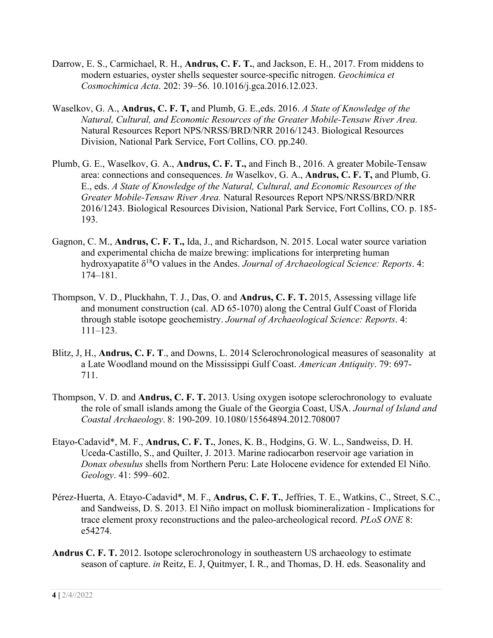- Darrow, E. S., Carmichael, R. H., **Andrus, C. F. T.**, and Jackson, E. H., 2017. From middens to modern estuaries, oyster shells sequester source-specific nitrogen. *Geochimica et Cosmochimica Acta*. 202: 39–56. 10.1016/j.gca.2016.12.023.
- Waselkov, G. A., **Andrus, C. F. T,** and Plumb, G. E.,eds. 2016. *A State of Knowledge of the Natural, Cultural, and Economic Resources of the Greater Mobile-Tensaw River Area.* Natural Resources Report NPS/NRSS/BRD/NRR 2016/1243. Biological Resources Division, National Park Service, Fort Collins, CO. pp.240.
- Plumb, G. E., Waselkov, G. A., **Andrus, C. F. T.,** and Finch B., 2016. A greater Mobile-Tensaw area: connections and consequences. *In* Waselkov, G. A., **Andrus, C. F. T,** and Plumb, G. E., eds. *A State of Knowledge of the Natural, Cultural, and Economic Resources of the Greater Mobile-Tensaw River Area.* Natural Resources Report NPS/NRSS/BRD/NRR 2016/1243. Biological Resources Division, National Park Service, Fort Collins, CO. p. 185- 193.
- Gagnon, C. M., **Andrus, C. F. T.,** Ida, J., and Richardson, N. 2015. Local water source variation and experimental chicha de maíze brewing: implications for interpreting human hydroxyapatite δ18O values in the Andes. *Journal of Archaeological Science: Reports*. 4: 174–181.
- Thompson, V. D., Pluckhahn, T. J., Das, O. and **Andrus, C. F. T.** 2015, Assessing village life and monument construction (cal. AD 65-1070) along the Central Gulf Coast of Florida through stable isotope geochemistry. *Journal of Archaeological Science: Reports*. 4: 111–123.
- Blitz, J, H., **Andrus, C. F. T**., and Downs, L. 2014 Sclerochronological measures of seasonality at a Late Woodland mound on the Mississippi Gulf Coast. *American Antiquity*. 79: 697- 711.
- Thompson, V. D. and **Andrus, C. F. T.** 2013. Using oxygen isotope sclerochronology to evaluate the role of small islands among the Guale of the Georgia Coast, USA. *Journal of Island and Coastal Archaeology*. 8: 190-209. 10.1080/15564894.2012.708007
- Etayo-Cadavid\*, M. F., **Andrus, C. F. T.**, Jones, K. B., Hodgins, G. W. L., Sandweiss, D. H. Uceda-Castillo, S., and Quilter, J. 2013. Marine radiocarbon reservoir age variation in *Donax obesulus* shells from Northern Peru: Late Holocene evidence for extended El Niño. *Geology*. 41: 599–602.
- Pérez-Huerta, A. Etayo-Cadavid\*, M. F., **Andrus, C. F. T.**, Jeffries, T. E., Watkins, C., Street, S.C., and Sandweiss, D. S. 2013. El Niño impact on mollusk biomineralization - Implications for trace element proxy reconstructions and the paleo-archeological record. *PLoS ONE* 8: e54274.
- **Andrus C. F. T.** 2012. Isotope sclerochronology in southeastern US archaeology to estimate season of capture. *in* Reitz, E. J, Quitmyer, I. R., and Thomas, D. H. eds. Seasonality and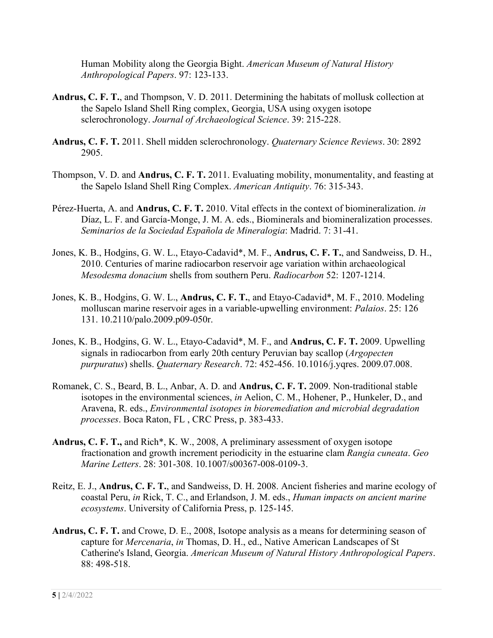Human Mobility along the Georgia Bight. *American Museum of Natural History Anthropological Papers*. 97: 123-133.

- **Andrus, C. F. T.**, and Thompson, V. D. 2011. Determining the habitats of mollusk collection at the Sapelo Island Shell Ring complex, Georgia, USA using oxygen isotope sclerochronology. *Journal of Archaeological Science*. 39: 215-228.
- **Andrus, C. F. T.** 2011. Shell midden sclerochronology. *Quaternary Science Reviews*. 30: 2892 2905.
- Thompson, V. D. and **Andrus, C. F. T.** 2011. Evaluating mobility, monumentality, and feasting at the Sapelo Island Shell Ring Complex. *American Antiquity*. 76: 315-343.
- Pérez-Huerta, A. and **Andrus, C. F. T.** 2010. Vital effects in the context of biomineralization. *in* Díaz, L. F. and García-Monge, J. M. A. eds., Biominerals and biomineralization processes. *Seminarios de la Sociedad Española de Mineralogia*: Madrid. 7: 31-41.
- Jones, K. B., Hodgins, G. W. L., Etayo-Cadavid\*, M. F., **Andrus, C. F. T.**, and Sandweiss, D. H., 2010. Centuries of marine radiocarbon reservoir age variation within archaeological *Mesodesma donacium* shells from southern Peru. *Radiocarbon* 52: 1207-1214.
- Jones, K. B., Hodgins, G. W. L., **Andrus, C. F. T.**, and Etayo-Cadavid\*, M. F., 2010. Modeling molluscan marine reservoir ages in a variable-upwelling environment: *Palaios*. 25: 126 131. 10.2110/palo.2009.p09-050r.
- Jones, K. B., Hodgins, G. W. L., Etayo-Cadavid\*, M. F., and **Andrus, C. F. T.** 2009. Upwelling signals in radiocarbon from early 20th century Peruvian bay scallop (*Argopecten purpuratus*) shells. *Quaternary Research*. 72: 452-456. 10.1016/j.yqres. 2009.07.008.
- Romanek, C. S., Beard, B. L., Anbar, A. D. and **Andrus, C. F. T.** 2009. Non-traditional stable isotopes in the environmental sciences, *in* Aelion, C. M., Hohener, P., Hunkeler, D., and Aravena, R. eds., *Environmental isotopes in bioremediation and microbial degradation processes*. Boca Raton, FL , CRC Press, p. 383-433.
- **Andrus, C. F. T.,** and Rich\*, K. W., 2008, A preliminary assessment of oxygen isotope fractionation and growth increment periodicity in the estuarine clam *Rangia cuneata*. *Geo Marine Letters*. 28: 301-308. 10.1007/s00367-008-0109-3.
- Reitz, E. J., **Andrus, C. F. T.**, and Sandweiss, D. H. 2008. Ancient fisheries and marine ecology of coastal Peru, *in* Rick, T. C., and Erlandson, J. M. eds., *Human impacts on ancient marine ecosystems*. University of California Press, p. 125-145.
- **Andrus, C. F. T.** and Crowe, D. E., 2008, Isotope analysis as a means for determining season of capture for *Mercenaria*, *in* Thomas, D. H., ed., Native American Landscapes of St Catherine's Island, Georgia. *American Museum of Natural History Anthropological Papers*. 88: 498-518.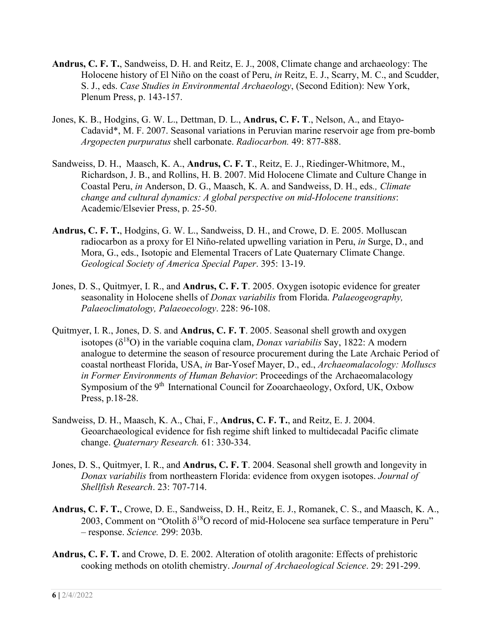- **Andrus, C. F. T.**, Sandweiss, D. H. and Reitz, E. J., 2008, Climate change and archaeology: The Holocene history of El Niño on the coast of Peru, *in* Reitz, E. J., Scarry, M. C., and Scudder, S. J., eds. *Case Studies in Environmental Archaeology*, (Second Edition): New York, Plenum Press, p. 143-157.
- Jones, K. B., Hodgins, G. W. L., Dettman, D. L., **Andrus, C. F. T**., Nelson, A., and Etayo-Cadavid\*, M. F. 2007. Seasonal variations in Peruvian marine reservoir age from pre-bomb *Argopecten purpuratus* shell carbonate. *Radiocarbon.* 49: 877-888.
- Sandweiss, D. H., Maasch, K. A., **Andrus, C. F. T**., Reitz, E. J., Riedinger-Whitmore, M., Richardson, J. B., and Rollins, H. B. 2007. Mid Holocene Climate and Culture Change in Coastal Peru, *in* Anderson, D. G., Maasch, K. A. and Sandweiss, D. H., eds*., Climate change and cultural dynamics: A global perspective on mid-Holocene transitions*: Academic/Elsevier Press, p. 25-50.
- **Andrus, C. F. T.**, Hodgins, G. W. L., Sandweiss, D. H., and Crowe, D. E. 2005. Molluscan radiocarbon as a proxy for El Niño-related upwelling variation in Peru, *in* Surge, D., and Mora, G., eds., Isotopic and Elemental Tracers of Late Quaternary Climate Change. *Geological Society of America Special Paper*. 395: 13-19.
- Jones, D. S., Quitmyer, I. R., and **Andrus, C. F. T**. 2005. Oxygen isotopic evidence for greater seasonality in Holocene shells of *Donax variabilis* from Florida. *Palaeogeography, Palaeoclimatology, Palaeoecology*. 228: 96-108.
- Quitmyer, I. R., Jones, D. S. and **Andrus, C. F. T**. 2005. Seasonal shell growth and oxygen isotopes  $(\delta^{18}O)$  in the variable coquina clam, *Donax variabilis* Say, 1822: A modern analogue to determine the season of resource procurement during the Late Archaic Period of coastal northeast Florida, USA, *in* Bar-Yosef Mayer, D., ed., *Archaeomalacology: Molluscs in Former Environments of Human Behavior*: Proceedings of the Archaeomalacology Symposium of the 9<sup>th</sup> International Council for Zooarchaeology, Oxford, UK, Oxbow Press, p.18-28.
- Sandweiss, D. H., Maasch, K. A., Chai, F., **Andrus, C. F. T.**, and Reitz, E. J. 2004. Geoarchaeological evidence for fish regime shift linked to multidecadal Pacific climate change. *Quaternary Research.* 61: 330-334.
- Jones, D. S., Quitmyer, I. R., and **Andrus, C. F. T**. 2004. Seasonal shell growth and longevity in *Donax variabilis* from northeastern Florida: evidence from oxygen isotopes. *Journal of Shellfish Research*. 23: 707-714.
- **Andrus, C. F. T.**, Crowe, D. E., Sandweiss, D. H., Reitz, E. J., Romanek, C. S., and Maasch, K. A., 2003, Comment on "Otolith  $\delta^{18}O$  record of mid-Holocene sea surface temperature in Peru" – response. *Science.* 299: 203b.
- **Andrus, C. F. T.** and Crowe, D. E. 2002. Alteration of otolith aragonite: Effects of prehistoric cooking methods on otolith chemistry. *Journal of Archaeological Science*. 29: 291-299.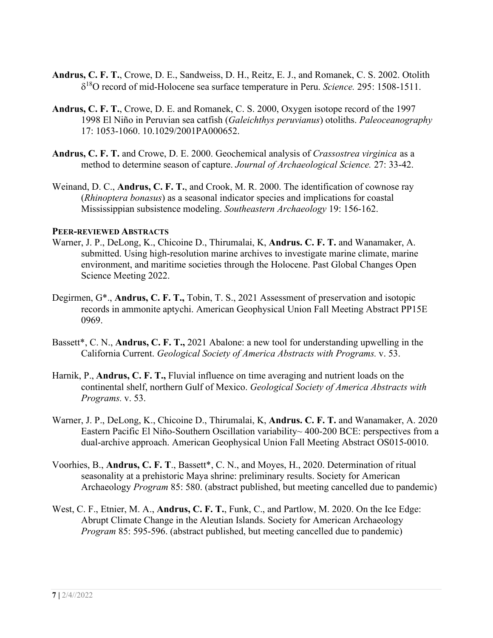- **Andrus, C. F. T.**, Crowe, D. E., Sandweiss, D. H., Reitz, E. J., and Romanek, C. S. 2002. Otolith δ18O record of mid-Holocene sea surface temperature in Peru. *Science.* 295: 1508-1511.
- **Andrus, C. F. T.**, Crowe, D. E. and Romanek, C. S. 2000, Oxygen isotope record of the 1997 1998 El Niño in Peruvian sea catfish (*Galeichthys peruvianus*) otoliths. *Paleoceanography* 17: 1053-1060. 10.1029/2001PA000652.
- **Andrus, C. F. T.** and Crowe, D. E. 2000. Geochemical analysis of *Crassostrea virginica* as a method to determine season of capture. *Journal of Archaeological Science.* 27: 33-42.
- Weinand, D. C., **Andrus, C. F. T.**, and Crook, M. R. 2000. The identification of cownose ray (*Rhinoptera bonasus*) as a seasonal indicator species and implications for coastal Mississippian subsistence modeling. *Southeastern Archaeology* 19: 156-162.

#### **PEER-REVIEWED ABSTRACTS**

- Warner, J. P., DeLong, K., Chicoine D., Thirumalai, K, **Andrus. C. F. T.** and Wanamaker, A. submitted. Using high-resolution marine archives to investigate marine climate, marine environment, and maritime societies through the Holocene. Past Global Changes Open Science Meeting 2022.
- Degirmen, G\*., **Andrus, C. F. T.,** Tobin, T. S., 2021 Assessment of preservation and isotopic records in ammonite aptychi. American Geophysical Union Fall Meeting Abstract PP15E 0969.
- Bassett\*, C. N., **Andrus, C. F. T.,** 2021 Abalone: a new tool for understanding upwelling in the California Current. *Geological Society of America Abstracts with Programs.* v. 53.
- Harnik, P., **Andrus, C. F. T.,** Fluvial influence on time averaging and nutrient loads on the continental shelf, northern Gulf of Mexico. *Geological Society of America Abstracts with Programs.* v. 53.
- Warner, J. P., DeLong, K., Chicoine D., Thirumalai, K, **Andrus. C. F. T.** and Wanamaker, A. 2020 Eastern Pacific El Niño-Southern Oscillation variability~ 400-200 BCE: perspectives from a dual-archive approach. American Geophysical Union Fall Meeting Abstract OS015-0010.
- Voorhies, B., **Andrus, C. F. T**., Bassett\*, C. N., and Moyes, H., 2020. Determination of ritual seasonality at a prehistoric Maya shrine: preliminary results. Society for American Archaeology *Program* 85: 580. (abstract published, but meeting cancelled due to pandemic)
- West, C. F., Etnier, M. A., **Andrus, C. F. T.**, Funk, C., and Partlow, M. 2020. On the Ice Edge: Abrupt Climate Change in the Aleutian Islands. Society for American Archaeology *Program* 85: 595-596. (abstract published, but meeting cancelled due to pandemic)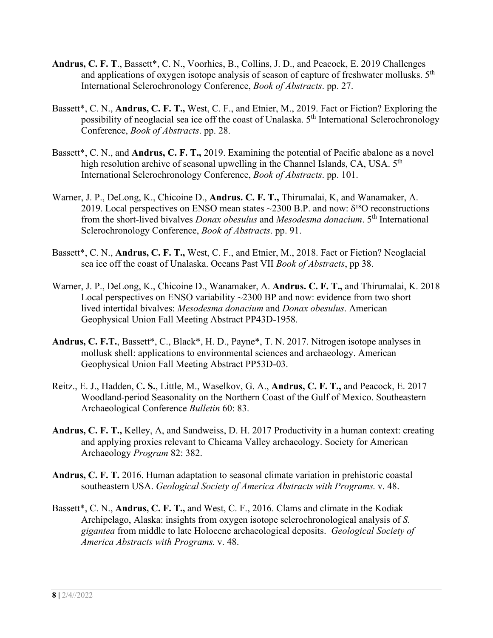- **Andrus, C. F. T**., Bassett\*, C. N., Voorhies, B., Collins, J. D., and Peacock, E. 2019 Challenges and applications of oxygen isotope analysis of season of capture of freshwater mollusks.  $5<sup>th</sup>$ International Sclerochronology Conference, *Book of Abstracts*. pp. 27.
- Bassett\*, C. N., **Andrus, C. F. T.,** West, C. F., and Etnier, M., 2019. Fact or Fiction? Exploring the possibility of neoglacial sea ice off the coast of Unalaska. 5th International Sclerochronology Conference, *Book of Abstracts*. pp. 28.
- Bassett\*, C. N., and **Andrus, C. F. T.,** 2019. Examining the potential of Pacific abalone as a novel high resolution archive of seasonal upwelling in the Channel Islands, CA, USA. 5<sup>th</sup> International Sclerochronology Conference, *Book of Abstracts*. pp. 101.
- Warner, J. P., DeLong, K., Chicoine D., **Andrus. C. F. T.,** Thirumalai, K, and Wanamaker, A. 2019. Local perspectives on ENSO mean states  $\sim$ 2300 B.P. and now:  $\delta^{18}$ O reconstructions from the short-lived bivalves *Donax obesulus* and *Mesodesma donacium*. 5th International Sclerochronology Conference, *Book of Abstracts*. pp. 91.
- Bassett\*, C. N., **Andrus, C. F. T.,** West, C. F., and Etnier, M., 2018. Fact or Fiction? Neoglacial sea ice off the coast of Unalaska. Oceans Past VII *Book of Abstracts*, pp 38.
- Warner, J. P., DeLong, K., Chicoine D., Wanamaker, A. **Andrus. C. F. T.,** and Thirumalai, K. 2018 Local perspectives on ENSO variability ~2300 BP and now: evidence from two short lived intertidal bivalves: *Mesodesma donacium* and *Donax obesulus*. American Geophysical Union Fall Meeting Abstract PP43D-1958.
- **Andrus, C. F.T.**, Bassett\*, C., Black\*, H. D., Payne\*, T. N. 2017. Nitrogen isotope analyses in mollusk shell: applications to environmental sciences and archaeology. American Geophysical Union Fall Meeting Abstract PP53D-03.
- Reitz., E. J., Hadden, C**. S.**, Little, M., Waselkov, G. A., **Andrus, C. F. T.,** and Peacock, E. 2017 Woodland-period Seasonality on the Northern Coast of the Gulf of Mexico. Southeastern Archaeological Conference *Bulletin* 60: 83.
- **Andrus, C. F. T.,** Kelley, A, and Sandweiss, D. H. 2017 Productivity in a human context: creating and applying proxies relevant to Chicama Valley archaeology. Society for American Archaeology *Program* 82: 382.
- **Andrus, C. F. T.** 2016. Human adaptation to seasonal climate variation in prehistoric coastal southeastern USA. *Geological Society of America Abstracts with Programs.* v. 48.
- Bassett\*, C. N., **Andrus, C. F. T.,** and West, C. F., 2016. Clams and climate in the Kodiak Archipelago, Alaska: insights from oxygen isotope sclerochronological analysis of *S. gigantea* from middle to late Holocene archaeological deposits. *Geological Society of America Abstracts with Programs.* v. 48.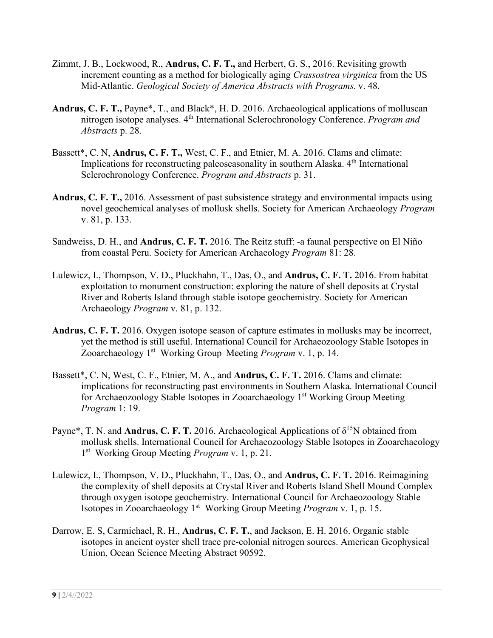- Zimmt, J. B., Lockwood, R., **Andrus, C. F. T.,** and Herbert, G. S., 2016. Revisiting growth increment counting as a method for biologically aging *Crassostrea virginica* from the US Mid-Atlantic. *Geological Society of America Abstracts with Programs.* v. 48.
- **Andrus, C. F. T.,** Payne\*, T., and Black\*, H. D. 2016. Archaeological applications of molluscan nitrogen isotope analyses. 4th International Sclerochronology Conference. *Program and Abstracts* p. 28.
- Bassett\*, C. N, **Andrus, C. F. T.,** West, C. F., and Etnier, M. A. 2016. Clams and climate: Implications for reconstructing paleoseasonality in southern Alaska. 4<sup>th</sup> International Sclerochronology Conference. *Program and Abstracts* p. 31.
- **Andrus, C. F. T.,** 2016. Assessment of past subsistence strategy and environmental impacts using novel geochemical analyses of mollusk shells. Society for American Archaeology *Program* v. 81, p. 133.
- Sandweiss, D. H., and **Andrus, C. F. T.** 2016. The Reitz stuff: -a faunal perspective on El Niño from coastal Peru. Society for American Archaeology *Program* 81: 28.
- Lulewicz, I., Thompson, V. D., Pluckhahn, T., Das, O., and **Andrus, C. F. T.** 2016. From habitat exploitation to monument construction: exploring the nature of shell deposits at Crystal River and Roberts Island through stable isotope geochemistry. Society for American Archaeology *Program* v. 81, p. 132.
- **Andrus, C. F. T.** 2016. Oxygen isotope season of capture estimates in mollusks may be incorrect, yet the method is still useful. International Council for Archaeozoology Stable Isotopes in Zooarchaeology 1st Working Group Meeting *Program* v. 1, p. 14.
- Bassett\*, C. N, West, C. F., Etnier, M. A., and **Andrus, C. F. T.** 2016. Clams and climate: implications for reconstructing past environments in Southern Alaska. International Council for Archaeozoology Stable Isotopes in Zooarchaeology 1<sup>st</sup> Working Group Meeting *Program* 1: 19.
- Payne<sup>\*</sup>, T. N. and **Andrus, C. F. T.** 2016. Archaeological Applications of  $\delta^{15}N$  obtained from mollusk shells. International Council for Archaeozoology Stable Isotopes in Zooarchaeology 1st Working Group Meeting *Program* v. 1, p. 21.
- Lulewicz, I., Thompson, V. D., Pluckhahn, T., Das, O., and **Andrus, C. F. T.** 2016. Reimagining the complexity of shell deposits at Crystal River and Roberts Island Shell Mound Complex through oxygen isotope geochemistry. International Council for Archaeozoology Stable Isotopes in Zooarchaeology 1st Working Group Meeting *Program* v. 1, p. 15.
- Darrow, E. S, Carmichael, R. H., **Andrus, C. F. T.**, and Jackson, E. H. 2016. Organic stable isotopes in ancient oyster shell trace pre-colonial nitrogen sources. American Geophysical Union, Ocean Science Meeting Abstract 90592.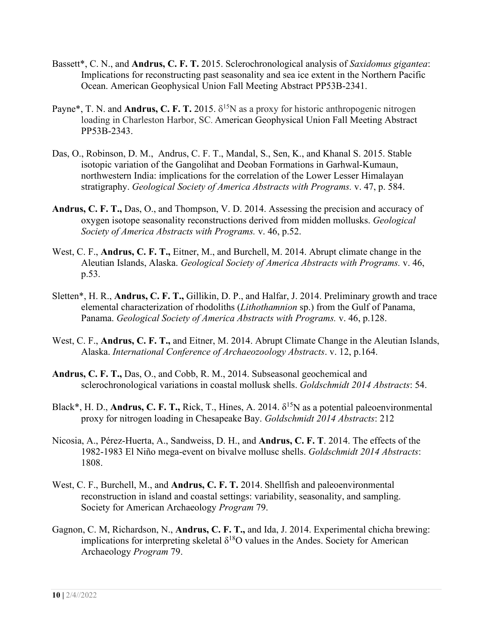- Bassett\*, C. N., and **Andrus, C. F. T.** 2015. Sclerochronological analysis of *Saxidomus gigantea*: Implications for reconstructing past seasonality and sea ice extent in the Northern Pacific Ocean. American Geophysical Union Fall Meeting Abstract PP53B-2341.
- Payne<sup>\*</sup>, T. N. and **Andrus, C. F. T.** 2015.  $\delta^{15}N$  as a proxy for historic anthropogenic nitrogen loading in Charleston Harbor, SC. American Geophysical Union Fall Meeting Abstract PP53B-2343.
- Das, O., Robinson, D. M., Andrus, C. F. T., Mandal, S., Sen, K., and Khanal S. 2015. Stable isotopic variation of the Gangolihat and Deoban Formations in Garhwal-Kumaun, northwestern India: implications for the correlation of the Lower Lesser Himalayan stratigraphy. *Geological Society of America Abstracts with Programs.* v. 47, p. 584.
- **Andrus, C. F. T.,** Das, O., and Thompson, V. D. 2014. Assessing the precision and accuracy of oxygen isotope seasonality reconstructions derived from midden mollusks. *Geological Society of America Abstracts with Programs.* v. 46, p.52.
- West, C. F., **Andrus, C. F. T.,** Eitner, M., and Burchell, M. 2014. Abrupt climate change in the Aleutian Islands, Alaska. *Geological Society of America Abstracts with Programs.* v. 46, p.53.
- Sletten\*, H. R., **Andrus, C. F. T.,** Gillikin, D. P., and Halfar, J. 2014. Preliminary growth and trace elemental characterization of rhodoliths (*Lithothamnion* sp.) from the Gulf of Panama, Panama. *Geological Society of America Abstracts with Programs.* v. 46, p.128.
- West, C. F., **Andrus, C. F. T.,** and Eitner, M. 2014. Abrupt Climate Change in the Aleutian Islands, Alaska. *International Conference of Archaeozoology Abstracts*. v. 12, p.164.
- **Andrus, C. F. T.,** Das, O., and Cobb, R. M., 2014. Subseasonal geochemical and sclerochronological variations in coastal mollusk shells. *Goldschmidt 2014 Abstracts*: 54.
- Black<sup>\*</sup>, H. D., **Andrus, C. F. T.,** Rick, T., Hines, A. 2014. δ<sup>15</sup>N as a potential paleoenvironmental proxy for nitrogen loading in Chesapeake Bay. *Goldschmidt 2014 Abstracts*: 212
- Nicosia, A., Pérez-Huerta, A., Sandweiss, D. H., and **Andrus, C. F. T**. 2014. The effects of the 1982-1983 El Niño mega-event on bivalve mollusc shells. *Goldschmidt 2014 Abstracts*: 1808.
- West, C. F., Burchell, M., and **Andrus, C. F. T.** 2014. Shellfish and paleoenvironmental reconstruction in island and coastal settings: variability, seasonality, and sampling. Society for American Archaeology *Program* 79.
- Gagnon, C. M, Richardson, N., **Andrus, C. F. T.,** and Ida, J. 2014. Experimental chicha brewing: implications for interpreting skeletal  $\delta^{18}O$  values in the Andes. Society for American Archaeology *Program* 79.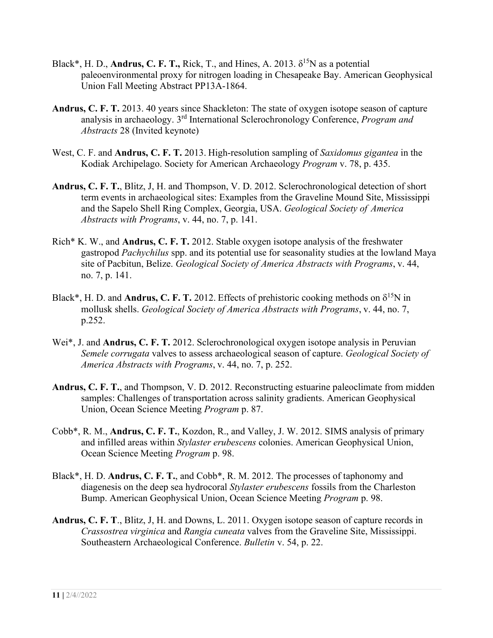- Black<sup>\*</sup>, H. D., **Andrus, C. F. T.,** Rick, T., and Hines, A. 2013.  $\delta^{15}N$  as a potential paleoenvironmental proxy for nitrogen loading in Chesapeake Bay. American Geophysical Union Fall Meeting Abstract PP13A-1864.
- **Andrus, C. F. T.** 2013. 40 years since Shackleton: The state of oxygen isotope season of capture analysis in archaeology. 3rd International Sclerochronology Conference, *Program and Abstracts* 28 (Invited keynote)
- West, C. F. and **Andrus, C. F. T.** 2013. High-resolution sampling of *Saxidomus gigantea* in the Kodiak Archipelago. Society for American Archaeology *Program* v. 78, p. 435.
- **Andrus, C. F. T.**, Blitz, J, H. and Thompson, V. D. 2012. Sclerochronological detection of short term events in archaeological sites: Examples from the Graveline Mound Site, Mississippi and the Sapelo Shell Ring Complex, Georgia, USA. *Geological Society of America Abstracts with Programs*, v. 44, no. 7, p. 141.
- Rich\* K. W., and **Andrus, C. F. T.** 2012. Stable oxygen isotope analysis of the freshwater gastropod *Pachychilus* spp. and its potential use for seasonality studies at the lowland Maya site of Pacbitun, Belize. *Geological Society of America Abstracts with Programs*, v. 44, no. 7, p. 141.
- Black<sup>\*</sup>, H. D. and **Andrus, C. F. T.** 2012. Effects of prehistoric cooking methods on  $\delta^{15}N$  in mollusk shells. *Geological Society of America Abstracts with Programs*, v. 44, no. 7, p.252.
- Wei\*, J. and **Andrus, C. F. T.** 2012. Sclerochronological oxygen isotope analysis in Peruvian *Semele corrugata* valves to assess archaeological season of capture. *Geological Society of America Abstracts with Programs*, v. 44, no. 7, p. 252.
- **Andrus, C. F. T.**, and Thompson, V. D. 2012. Reconstructing estuarine paleoclimate from midden samples: Challenges of transportation across salinity gradients. American Geophysical Union, Ocean Science Meeting *Program* p. 87.
- Cobb\*, R. M., **Andrus, C. F. T.**, Kozdon, R., and Valley, J. W. 2012. SIMS analysis of primary and infilled areas within *Stylaster erubescens* colonies. American Geophysical Union, Ocean Science Meeting *Program* p. 98.
- Black\*, H. D. **Andrus, C. F. T.**, and Cobb\*, R. M. 2012. The processes of taphonomy and diagenesis on the deep sea hydrocoral *Stylaster erubescens* fossils from the Charleston Bump. American Geophysical Union, Ocean Science Meeting *Program* p. 98.
- **Andrus, C. F. T**., Blitz, J, H. and Downs, L. 2011. Oxygen isotope season of capture records in *Crassostrea virginica* and *Rangia cuneata* valves from the Graveline Site, Mississippi. Southeastern Archaeological Conference. *Bulletin* v. 54, p. 22.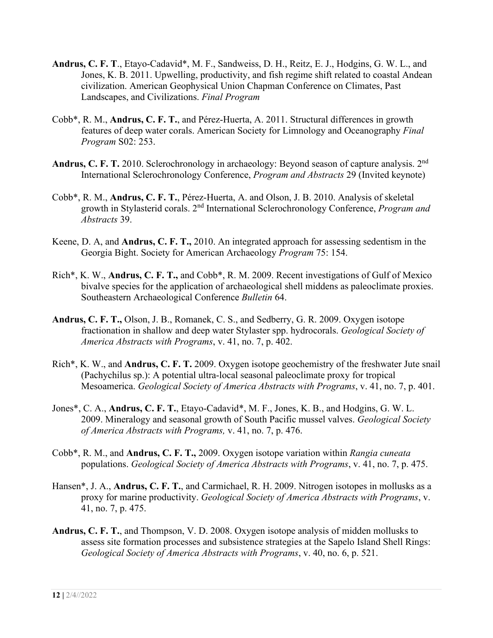- **Andrus, C. F. T**., Etayo-Cadavid\*, M. F., Sandweiss, D. H., Reitz, E. J., Hodgins, G. W. L., and Jones, K. B. 2011. Upwelling, productivity, and fish regime shift related to coastal Andean civilization. American Geophysical Union Chapman Conference on Climates, Past Landscapes, and Civilizations. *Final Program*
- Cobb\*, R. M., **Andrus, C. F. T.**, and Pérez-Huerta, A. 2011. Structural differences in growth features of deep water corals. American Society for Limnology and Oceanography *Final Program* S02: 253.
- **Andrus, C. F. T.** 2010. Sclerochronology in archaeology: Beyond season of capture analysis. 2nd International Sclerochronology Conference, *Program and Abstracts* 29 (Invited keynote)
- Cobb\*, R. M., **Andrus, C. F. T.**, Pérez-Huerta, A. and Olson, J. B. 2010. Analysis of skeletal growth in Stylasterid corals. 2nd International Sclerochronology Conference, *Program and Abstracts* 39.
- Keene, D. A, and **Andrus, C. F. T.,** 2010. An integrated approach for assessing sedentism in the Georgia Bight. Society for American Archaeology *Program* 75: 154.
- Rich\*, K. W., **Andrus, C. F. T.,** and Cobb\*, R. M. 2009. Recent investigations of Gulf of Mexico bivalve species for the application of archaeological shell middens as paleoclimate proxies. Southeastern Archaeological Conference *Bulletin* 64.
- **Andrus, C. F. T.,** Olson, J. B., Romanek, C. S., and Sedberry, G. R. 2009. Oxygen isotope fractionation in shallow and deep water Stylaster spp. hydrocorals. *Geological Society of America Abstracts with Programs*, v. 41, no. 7, p. 402.
- Rich\*, K. W., and **Andrus, C. F. T.** 2009. Oxygen isotope geochemistry of the freshwater Jute snail (Pachychilus sp.): A potential ultra-local seasonal paleoclimate proxy for tropical Mesoamerica. *Geological Society of America Abstracts with Programs*, v. 41, no. 7, p. 401.
- Jones\*, C. A., **Andrus, C. F. T.**, Etayo-Cadavid\*, M. F., Jones, K. B., and Hodgins, G. W. L. 2009. Mineralogy and seasonal growth of South Pacific mussel valves. *Geological Society of America Abstracts with Programs,* v. 41, no. 7, p. 476.
- Cobb\*, R. M., and **Andrus, C. F. T.,** 2009. Oxygen isotope variation within *Rangia cuneata* populations. *Geological Society of America Abstracts with Programs*, v. 41, no. 7, p. 475.
- Hansen\*, J. A., **Andrus, C. F. T.**, and Carmichael, R. H. 2009. Nitrogen isotopes in mollusks as a proxy for marine productivity. *Geological Society of America Abstracts with Programs*, v. 41, no. 7, p. 475.
- **Andrus, C. F. T.**, and Thompson, V. D. 2008. Oxygen isotope analysis of midden mollusks to assess site formation processes and subsistence strategies at the Sapelo Island Shell Rings: *Geological Society of America Abstracts with Programs*, v. 40, no. 6, p. 521.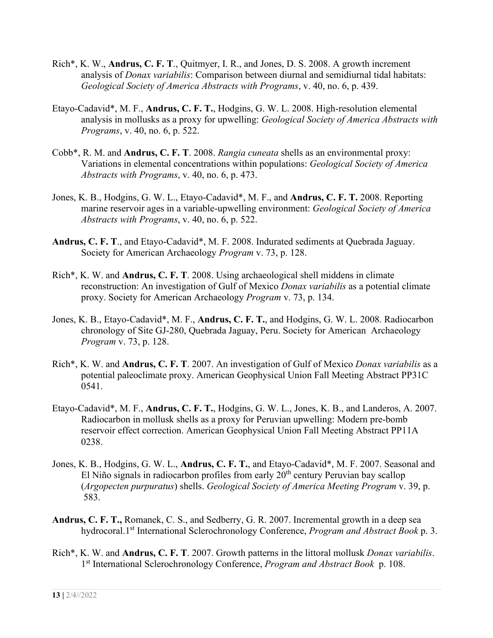- Rich\*, K. W., **Andrus, C. F. T**., Quitmyer, I. R., and Jones, D. S. 2008. A growth increment analysis of *Donax variabilis*: Comparison between diurnal and semidiurnal tidal habitats: *Geological Society of America Abstracts with Programs*, v. 40, no. 6, p. 439.
- Etayo-Cadavid\*, M. F., **Andrus, C. F. T.**, Hodgins, G. W. L. 2008. High-resolution elemental analysis in mollusks as a proxy for upwelling: *Geological Society of America Abstracts with Programs*, v. 40, no. 6, p. 522.
- Cobb\*, R. M. and **Andrus, C. F. T**. 2008. *Rangia cuneata* shells as an environmental proxy: Variations in elemental concentrations within populations: *Geological Society of America Abstracts with Programs*, v. 40, no. 6, p. 473.
- Jones, K. B., Hodgins, G. W. L., Etayo-Cadavid\*, M. F., and **Andrus, C. F. T.** 2008. Reporting marine reservoir ages in a variable-upwelling environment: *Geological Society of America Abstracts with Programs*, v. 40, no. 6, p. 522.
- **Andrus, C. F. T**., and Etayo-Cadavid\*, M. F. 2008. Indurated sediments at Quebrada Jaguay. Society for American Archaeology *Program* v. 73, p. 128.
- Rich\*, K. W. and **Andrus, C. F. T**. 2008. Using archaeological shell middens in climate reconstruction: An investigation of Gulf of Mexico *Donax variabilis* as a potential climate proxy. Society for American Archaeology *Program* v. 73, p. 134.
- Jones, K. B., Etayo-Cadavid\*, M. F., **Andrus, C. F. T.**, and Hodgins, G. W. L. 2008. Radiocarbon chronology of Site GJ-280, Quebrada Jaguay, Peru. Society for American Archaeology *Program* v. 73, p. 128.
- Rich\*, K. W. and **Andrus, C. F. T**. 2007. An investigation of Gulf of Mexico *Donax variabilis* as a potential paleoclimate proxy. American Geophysical Union Fall Meeting Abstract PP31C 0541.
- Etayo-Cadavid\*, M. F., **Andrus, C. F. T.**, Hodgins, G. W. L., Jones, K. B., and Landeros, A. 2007. Radiocarbon in mollusk shells as a proxy for Peruvian upwelling: Modern pre-bomb reservoir effect correction. American Geophysical Union Fall Meeting Abstract PP11A 0238.
- Jones, K. B., Hodgins, G. W. L., **Andrus, C. F. T.**, and Etayo-Cadavid\*, M. F. 2007. Seasonal and El Niño signals in radiocarbon profiles from early  $20<sup>th</sup>$  century Peruvian bay scallop (*Argopecten purpuratus*) shells. *Geological Society of America Meeting Program* v. 39, p. 583.
- **Andrus, C. F. T.,** Romanek, C. S., and Sedberry, G. R. 2007. Incremental growth in a deep sea hydrocoral.1st International Sclerochronology Conference, *Program and Abstract Book* p. 3.
- Rich\*, K. W. and **Andrus, C. F. T**. 2007. Growth patterns in the littoral mollusk *Donax variabilis*. 1st International Sclerochronology Conference, *Program and Abstract Book* p. 108.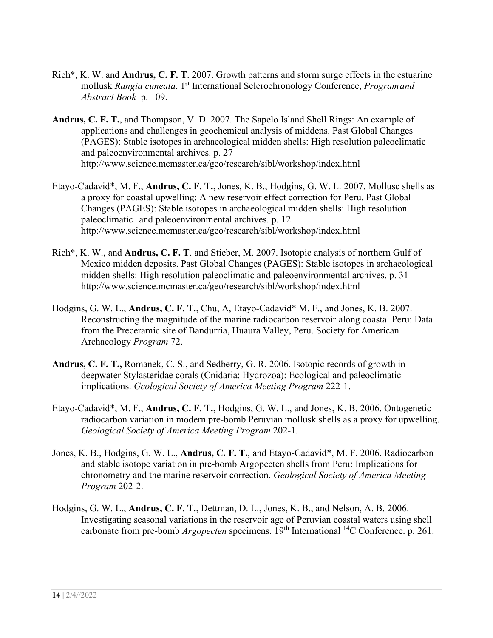- Rich\*, K. W. and **Andrus, C. F. T**. 2007. Growth patterns and storm surge effects in the estuarine mollusk *Rangia cuneata*. 1st International Sclerochronology Conference, *Programand Abstract Book* p. 109.
- **Andrus, C. F. T.**, and Thompson, V. D. 2007. The Sapelo Island Shell Rings: An example of applications and challenges in geochemical analysis of middens. Past Global Changes (PAGES): Stable isotopes in archaeological midden shells: High resolution paleoclimatic and paleoenvironmental archives. p. 27 http://www.science.mcmaster.ca/geo/research/sibl/workshop/index.html
- Etayo-Cadavid\*, M. F., **Andrus, C. F. T.**, Jones, K. B., Hodgins, G. W. L. 2007. Mollusc shells as a proxy for coastal upwelling: A new reservoir effect correction for Peru. Past Global Changes (PAGES): Stable isotopes in archaeological midden shells: High resolution paleoclimatic and paleoenvironmental archives. p. 12 http://www.science.mcmaster.ca/geo/research/sibl/workshop/index.html
- Rich\*, K. W., and **Andrus, C. F. T**. and Stieber, M. 2007. Isotopic analysis of northern Gulf of Mexico midden deposits. Past Global Changes (PAGES): Stable isotopes in archaeological midden shells: High resolution paleoclimatic and paleoenvironmental archives. p. 31 http://www.science.mcmaster.ca/geo/research/sibl/workshop/index.html
- Hodgins, G. W. L., **Andrus, C. F. T.**, Chu, A, Etayo-Cadavid\* M. F., and Jones, K. B. 2007. Reconstructing the magnitude of the marine radiocarbon reservoir along coastal Peru: Data from the Preceramic site of Bandurria, Huaura Valley, Peru. Society for American Archaeology *Program* 72.
- **Andrus, C. F. T.,** Romanek, C. S., and Sedberry, G. R. 2006. Isotopic records of growth in deepwater Stylasteridae corals (Cnidaria: Hydrozoa): Ecological and paleoclimatic implications. *Geological Society of America Meeting Program* 222-1.
- Etayo-Cadavid\*, M. F., **Andrus, C. F. T.**, Hodgins, G. W. L., and Jones, K. B. 2006. Ontogenetic radiocarbon variation in modern pre-bomb Peruvian mollusk shells as a proxy for upwelling. *Geological Society of America Meeting Program* 202-1.
- Jones, K. B., Hodgins, G. W. L., **Andrus, C. F. T.**, and Etayo-Cadavid\*, M. F. 2006. Radiocarbon and stable isotope variation in pre-bomb Argopecten shells from Peru: Implications for chronometry and the marine reservoir correction. *Geological Society of America Meeting Program* 202-2.
- Hodgins, G. W. L., **Andrus, C. F. T.**, Dettman, D. L., Jones, K. B., and Nelson, A. B. 2006. Investigating seasonal variations in the reservoir age of Peruvian coastal waters using shell carbonate from pre-bomb *Argopecten* specimens. 19<sup>th</sup> International <sup>14</sup>C Conference. p. 261.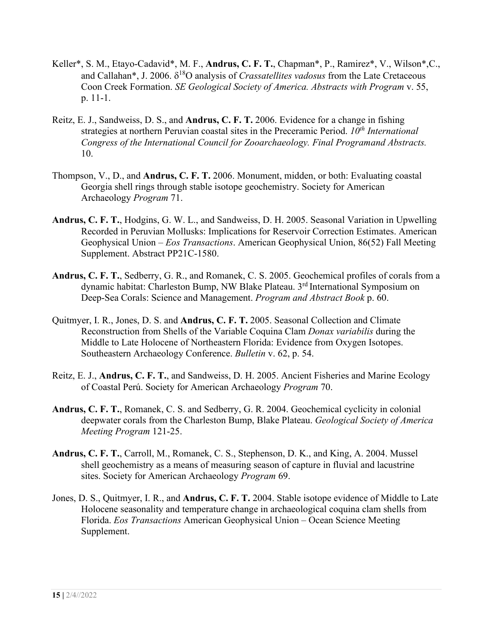- Keller\*, S. M., Etayo-Cadavid\*, M. F., **Andrus, C. F. T.**, Chapman\*, P., Ramirez\*, V., Wilson\*,C., and Callahan\*, J. 2006. δ18O analysis of *Crassatellites vadosus* from the Late Cretaceous Coon Creek Formation. *SE Geological Society of America. Abstracts with Program* v. 55, p. 11-1.
- Reitz, E. J., Sandweiss, D. S., and **Andrus, C. F. T.** 2006. Evidence for a change in fishing strategies at northern Peruvian coastal sites in the Preceramic Period. *10th International Congress of the International Council for Zooarchaeology. Final Programand Abstracts.* 10.
- Thompson, V., D., and **Andrus, C. F. T.** 2006. Monument, midden, or both: Evaluating coastal Georgia shell rings through stable isotope geochemistry. Society for American Archaeology *Program* 71.
- **Andrus, C. F. T.**, Hodgins, G. W. L., and Sandweiss, D. H. 2005. Seasonal Variation in Upwelling Recorded in Peruvian Mollusks: Implications for Reservoir Correction Estimates. American Geophysical Union – *Eos Transactions*. American Geophysical Union, 86(52) Fall Meeting Supplement. Abstract PP21C-1580.
- **Andrus, C. F. T.**, Sedberry, G. R., and Romanek, C. S. 2005. Geochemical profiles of corals from a dynamic habitat: Charleston Bump, NW Blake Plateau. 3rd International Symposium on Deep-Sea Corals: Science and Management. *Program and Abstract Book* p. 60.
- Quitmyer, I. R., Jones, D. S. and **Andrus, C. F. T.** 2005. Seasonal Collection and Climate Reconstruction from Shells of the Variable Coquina Clam *Donax variabilis* during the Middle to Late Holocene of Northeastern Florida: Evidence from Oxygen Isotopes. Southeastern Archaeology Conference. *Bulletin* v. 62, p. 54.
- Reitz, E. J., **Andrus, C. F. T.**, and Sandweiss, D. H. 2005. Ancient Fisheries and Marine Ecology of Coastal Perú. Society for American Archaeology *Program* 70.
- **Andrus, C. F. T.**, Romanek, C. S. and Sedberry, G. R. 2004. Geochemical cyclicity in colonial deepwater corals from the Charleston Bump, Blake Plateau. *Geological Society of America Meeting Program* 121-25.
- **Andrus, C. F. T.**, Carroll, M., Romanek, C. S., Stephenson, D. K., and King, A. 2004. Mussel shell geochemistry as a means of measuring season of capture in fluvial and lacustrine sites. Society for American Archaeology *Program* 69.
- Jones, D. S., Quitmyer, I. R., and **Andrus, C. F. T.** 2004. Stable isotope evidence of Middle to Late Holocene seasonality and temperature change in archaeological coquina clam shells from Florida. *Eos Transactions* American Geophysical Union – Ocean Science Meeting Supplement.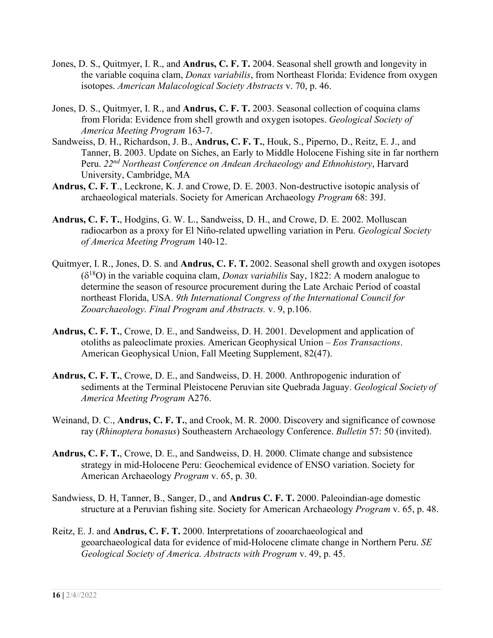- Jones, D. S., Quitmyer, I. R., and **Andrus, C. F. T.** 2004. Seasonal shell growth and longevity in the variable coquina clam, *Donax variabilis*, from Northeast Florida: Evidence from oxygen isotopes. *American Malacological Society Abstracts* v. 70, p. 46.
- Jones, D. S., Quitmyer, I. R., and **Andrus, C. F. T.** 2003. Seasonal collection of coquina clams from Florida: Evidence from shell growth and oxygen isotopes. *Geological Society of America Meeting Program* 163-7.
- Sandweiss, D. H., Richardson, J. B., **Andrus, C. F. T.**, Houk, S., Piperno, D., Reitz, E. J., and Tanner, B. 2003. Update on Siches, an Early to Middle Holocene Fishing site in far northern Peru. *22nd Northeast Conference on Andean Archaeology and Ethnohistory*, Harvard University, Cambridge, MA
- **Andrus, C. F. T**., Leckrone, K. J. and Crowe, D. E. 2003. Non-destructive isotopic analysis of archaeological materials. Society for American Archaeology *Program* 68: 39J.
- **Andrus, C. F. T.**, Hodgins, G. W. L., Sandweiss, D. H., and Crowe, D. E. 2002. Molluscan radiocarbon as a proxy for El Niño-related upwelling variation in Peru. *Geological Society of America Meeting Program* 140-12.
- Quitmyer, I. R., Jones, D. S. and **Andrus, C. F. T.** 2002. Seasonal shell growth and oxygen isotopes  $(\delta^{18}O)$  in the variable coquina clam, *Donax variabilis* Say, 1822: A modern analogue to determine the season of resource procurement during the Late Archaic Period of coastal northeast Florida, USA. *9th International Congress of the International Council for Zooarchaeology. Final Program and Abstracts.* v. 9, p.106.
- **Andrus, C. F. T.**, Crowe, D. E., and Sandweiss, D. H. 2001. Development and application of otoliths as paleoclimate proxies. American Geophysical Union – *Eos Transactions*. American Geophysical Union, Fall Meeting Supplement, 82(47).
- **Andrus, C. F. T.**, Crowe, D. E., and Sandweiss, D. H. 2000. Anthropogenic induration of sediments at the Terminal Pleistocene Peruvian site Quebrada Jaguay. *Geological Society of America Meeting Program* A276.
- Weinand, D. C., **Andrus, C. F. T.**, and Crook, M. R. 2000. Discovery and significance of cownose ray (*Rhinoptera bonasus*) Southeastern Archaeology Conference. *Bulletin* 57: 50 (invited).
- **Andrus, C. F. T.**, Crowe, D. E., and Sandweiss, D. H. 2000. Climate change and subsistence strategy in mid-Holocene Peru: Geochemical evidence of ENSO variation. Society for American Archaeology *Program* v. 65, p. 30.
- Sandwiess, D. H, Tanner, B., Sanger, D., and **Andrus C. F. T.** 2000. Paleoindian-age domestic structure at a Peruvian fishing site. Society for American Archaeology *Program* v. 65, p. 48.
- Reitz, E. J. and **Andrus, C. F. T.** 2000. Interpretations of zooarchaeological and geoarchaeological data for evidence of mid-Holocene climate change in Northern Peru. *SE Geological Society of America. Abstracts with Program* v. 49, p. 45.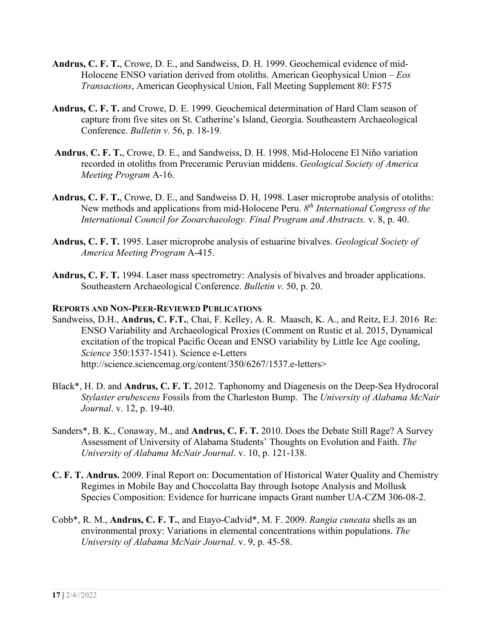- **Andrus, C. F. T.**, Crowe, D. E., and Sandweiss, D. H. 1999. Geochemical evidence of mid-Holocene ENSO variation derived from otoliths. American Geophysical Union – *Eos Transactions*, American Geophysical Union, Fall Meeting Supplement 80: F575
- **Andrus, C. F. T.** and Crowe, D. E. 1999. Geochemical determination of Hard Clam season of capture from five sites on St. Catherine's Island, Georgia. Southeastern Archaeological Conference. *Bulletin v.* 56, p. 18-19.
- **Andrus**, **C. F. T.**, Crowe, D. E., and Sandweiss, D. H. 1998. Mid-Holocene El Niño variation recorded in otoliths from Preceramic Peruvian middens. *Geological Society of America Meeting Program* A-16.
- **Andrus, C. F. T.**, Crowe, D. E., and Sandweiss D. H, 1998. Laser microprobe analysis of otoliths: New methods and applications from mid-Holocene Peru. *8th International Congress of the International Council for Zooarchaeology. Final Program and Abstracts.* v. 8, p. 40.
- **Andrus, C. F. T.** 1995. Laser microprobe analysis of estuarine bivalves. *Geological Society of America Meeting Program* A-415.
- **Andrus, C. F. T.** 1994. Laser mass spectrometry: Analysis of bivalves and broader applications. Southeastern Archaeological Conference. *Bulletin v.* 50, p. 20.

#### **REPORTS AND NON-PEER-REVIEWED PUBLICATIONS**

- Sandweiss, D.H., **Andrus, C. F.T.**, Chai, F. Kelley, A. R. Maasch, K. A., and Reitz, E.J. 2016 Re: ENSO Variability and Archaeological Proxies (Comment on Rustic et al. 2015, Dynamical excitation of the tropical Pacific Ocean and ENSO variability by Little Ice Age cooling, *Science* 350:1537-1541). Science e-Letters http://science.sciencemag.org/content/350/6267/1537.e-letters>
- Black\*, H. D. and **Andrus, C. F. T.** 2012. Taphonomy and Diagenesis on the Deep-Sea Hydrocoral *Stylaster erubescens* Fossils from the Charleston Bump. The *University of Alabama McNair Journal*. v. 12, p. 19-40.
- Sanders\*, B. K., Conaway, M., and **Andrus, C. F. T.** 2010. Does the Debate Still Rage? A Survey Assessment of University of Alabama Students' Thoughts on Evolution and Faith. *The University of Alabama McNair Journal*. v. 10, p. 121-138.
- **C. F. T. Andrus.** 2009. Final Report on: Documentation of Historical Water Quality and Chemistry Regimes in Mobile Bay and Choccolatta Bay through Isotope Analysis and Mollusk Species Composition: Evidence for hurricane impacts Grant number UA-CZM 306-08-2.
- Cobb\*, R. M., **Andrus, C. F. T.**, and Etayo-Cadvid\*, M. F. 2009. *Rangia cuneata* shells as an environmental proxy: Variations in elemental concentrations within populations. *The University of Alabama McNair Journal*. v. 9, p. 45-58.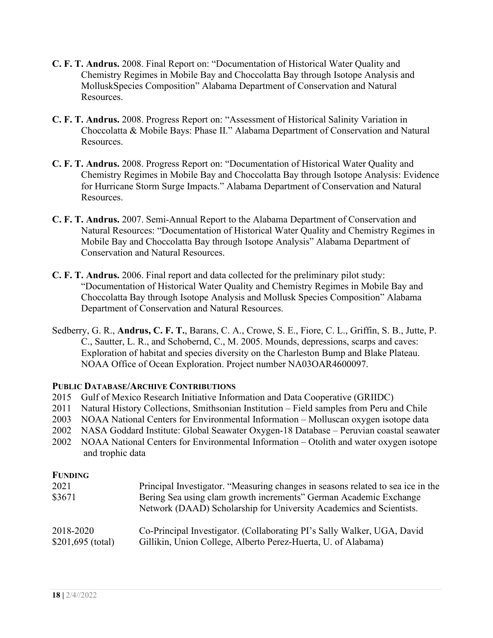- **C. F. T. Andrus.** 2008. Final Report on: "Documentation of Historical Water Quality and Chemistry Regimes in Mobile Bay and Choccolatta Bay through Isotope Analysis and MolluskSpecies Composition" Alabama Department of Conservation and Natural Resources.
- **C. F. T. Andrus.** 2008. Progress Report on: "Assessment of Historical Salinity Variation in Choccolatta & Mobile Bays: Phase II." Alabama Department of Conservation and Natural Resources.
- **C. F. T. Andrus.** 2008. Progress Report on: "Documentation of Historical Water Quality and Chemistry Regimes in Mobile Bay and Choccolatta Bay through Isotope Analysis: Evidence for Hurricane Storm Surge Impacts." Alabama Department of Conservation and Natural Resources.
- **C. F. T. Andrus.** 2007. Semi-Annual Report to the Alabama Department of Conservation and Natural Resources: "Documentation of Historical Water Quality and Chemistry Regimes in Mobile Bay and Choccolatta Bay through Isotope Analysis" Alabama Department of Conservation and Natural Resources.
- **C. F. T. Andrus.** 2006. Final report and data collected for the preliminary pilot study: "Documentation of Historical Water Quality and Chemistry Regimes in Mobile Bay and Choccolatta Bay through Isotope Analysis and Mollusk Species Composition" Alabama Department of Conservation and Natural Resources.
- Sedberry, G. R., **Andrus, C. F. T.**, Barans, C. A., Crowe, S. E., Fiore, C. L., Griffin, S. B., Jutte, P. C., Sautter, L. R., and Schobernd, C., M. 2005. Mounds, depressions, scarps and caves: Exploration of habitat and species diversity on the Charleston Bump and Blake Plateau. NOAA Office of Ocean Exploration. Project number NA03OAR4600097.

## **PUBLIC DATABASE/ARCHIVE CONTRIBUTIONS**

- 2015 Gulf of Mexico Research Initiative Information and Data Cooperative (GRIIDC)
- 2011 Natural History Collections, Smithsonian Institution Field samples from Peru and Chile
- 2003 NOAA National Centers for Environmental Information Molluscan oxygen isotope data
- 2002 NASA Goddard Institute: Global Seawater Oxygen-18 Database Peruvian coastal seawater
- 2002 NOAA National Centers for Environmental Information Otolith and water oxygen isotope and trophic data

## **FUNDING**

| 2021<br>\$3671     | Principal Investigator. "Measuring changes in seasons related to sea ice in the<br>Bering Sea using clam growth increments" German Academic Exchange<br>Network (DAAD) Scholarship for University Academics and Scientists. |
|--------------------|-----------------------------------------------------------------------------------------------------------------------------------------------------------------------------------------------------------------------------|
| 2018-2020          | Co-Principal Investigator. (Collaborating PI's Sally Walker, UGA, David                                                                                                                                                     |
| $$201,695$ (total) | Gillikin, Union College, Alberto Perez-Huerta, U. of Alabama)                                                                                                                                                               |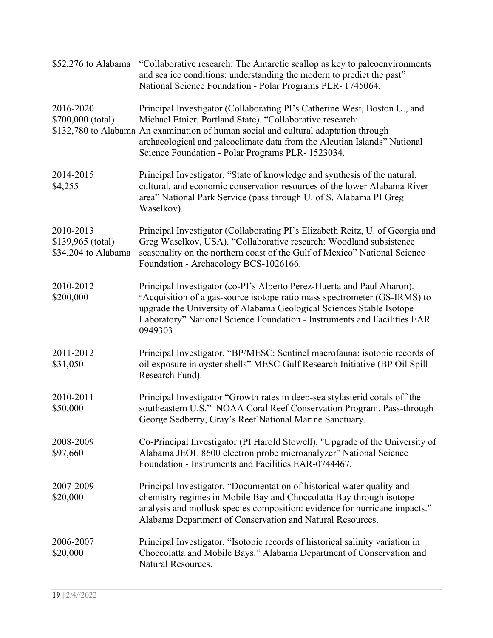| \$52,276 to Alabama                                   | "Collaborative research: The Antarctic scallop as key to paleoenvironments<br>and sea ice conditions: understanding the modern to predict the past"<br>National Science Foundation - Polar Programs PLR- 1745064.                                                                                                                                              |
|-------------------------------------------------------|----------------------------------------------------------------------------------------------------------------------------------------------------------------------------------------------------------------------------------------------------------------------------------------------------------------------------------------------------------------|
| 2016-2020<br>\$700,000 (total)                        | Principal Investigator (Collaborating PI's Catherine West, Boston U., and<br>Michael Etnier, Portland State). "Collaborative research:<br>\$132,780 to Alabama An examination of human social and cultural adaptation through<br>archaeological and paleoclimate data from the Aleutian Islands" National<br>Science Foundation - Polar Programs PLR- 1523034. |
| 2014-2015<br>\$4,255                                  | Principal Investigator. "State of knowledge and synthesis of the natural,<br>cultural, and economic conservation resources of the lower Alabama River<br>area" National Park Service (pass through U. of S. Alabama PI Greg<br>Waselkov).                                                                                                                      |
| 2010-2013<br>\$139,965 (total)<br>\$34,204 to Alabama | Principal Investigator (Collaborating PI's Elizabeth Reitz, U. of Georgia and<br>Greg Waselkov, USA). "Collaborative research: Woodland subsistence<br>seasonality on the northern coast of the Gulf of Mexico" National Science<br>Foundation - Archaeology BCS-1026166.                                                                                      |
| 2010-2012<br>\$200,000                                | Principal Investigator (co-PI's Alberto Perez-Huerta and Paul Aharon).<br>"Acquisition of a gas-source isotope ratio mass spectrometer (GS-IRMS) to<br>upgrade the University of Alabama Geological Sciences Stable Isotope<br>Laboratory" National Science Foundation - Instruments and Facilities EAR<br>0949303.                                            |
| 2011-2012<br>\$31,050                                 | Principal Investigator. "BP/MESC: Sentinel macrofauna: isotopic records of<br>oil exposure in oyster shells" MESC Gulf Research Initiative (BP Oil Spill<br>Research Fund).                                                                                                                                                                                    |
| 2010-2011<br>\$50,000                                 | Principal Investigator "Growth rates in deep-sea stylasterid corals off the<br>southeastern U.S." NOAA Coral Reef Conservation Program. Pass-through<br>George Sedberry, Gray's Reef National Marine Sanctuary.                                                                                                                                                |
| 2008-2009<br>\$97,660                                 | Co-Principal Investigator (PI Harold Stowell). "Upgrade of the University of<br>Alabama JEOL 8600 electron probe microanalyzer" National Science<br>Foundation - Instruments and Facilities EAR-0744467.                                                                                                                                                       |
| 2007-2009<br>\$20,000                                 | Principal Investigator. "Documentation of historical water quality and<br>chemistry regimes in Mobile Bay and Choccolatta Bay through isotope<br>analysis and mollusk species composition: evidence for hurricane impacts."<br>Alabama Department of Conservation and Natural Resources.                                                                       |
| 2006-2007<br>\$20,000                                 | Principal Investigator. "Isotopic records of historical salinity variation in<br>Choccolatta and Mobile Bays." Alabama Department of Conservation and<br>Natural Resources.                                                                                                                                                                                    |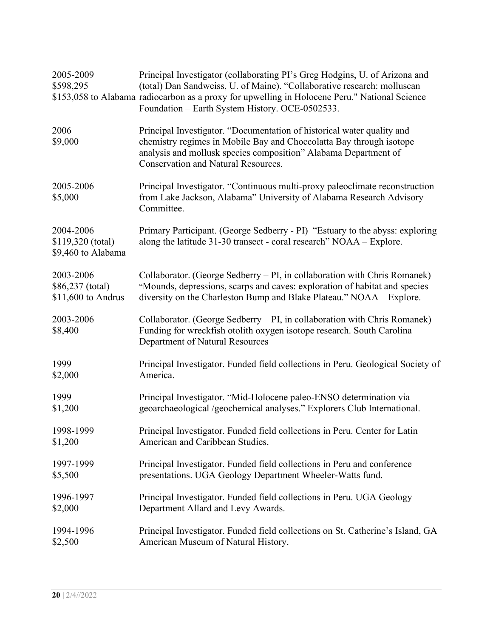| 2005-2009<br>\$598,295                               | Principal Investigator (collaborating PI's Greg Hodgins, U. of Arizona and<br>(total) Dan Sandweiss, U. of Maine). "Collaborative research: molluscan<br>\$153,058 to Alabama radiocarbon as a proxy for upwelling in Holocene Peru." National Science<br>Foundation - Earth System History. OCE-0502533. |
|------------------------------------------------------|-----------------------------------------------------------------------------------------------------------------------------------------------------------------------------------------------------------------------------------------------------------------------------------------------------------|
| 2006<br>\$9,000                                      | Principal Investigator. "Documentation of historical water quality and<br>chemistry regimes in Mobile Bay and Choccolatta Bay through isotope<br>analysis and mollusk species composition" Alabama Department of<br><b>Conservation and Natural Resources.</b>                                            |
| 2005-2006<br>\$5,000                                 | Principal Investigator. "Continuous multi-proxy paleoclimate reconstruction<br>from Lake Jackson, Alabama" University of Alabama Research Advisory<br>Committee.                                                                                                                                          |
| 2004-2006<br>\$119,320 (total)<br>\$9,460 to Alabama | Primary Participant. (George Sedberry - PI) "Estuary to the abyss: exploring<br>along the latitude 31-30 transect - coral research" NOAA – Explore.                                                                                                                                                       |
| 2003-2006                                            | Collaborator. (George Sedberry – PI, in collaboration with Chris Romanek)                                                                                                                                                                                                                                 |
| \$86,237 (total)                                     | "Mounds, depressions, scarps and caves: exploration of habitat and species                                                                                                                                                                                                                                |
| $$11,600$ to Andrus                                  | diversity on the Charleston Bump and Blake Plateau." NOAA - Explore.                                                                                                                                                                                                                                      |
| 2003-2006<br>\$8,400                                 | Collaborator. (George Sedberry - PI, in collaboration with Chris Romanek)<br>Funding for wreckfish otolith oxygen isotope research. South Carolina<br>Department of Natural Resources                                                                                                                     |
| 1999                                                 | Principal Investigator. Funded field collections in Peru. Geological Society of                                                                                                                                                                                                                           |
| \$2,000                                              | America.                                                                                                                                                                                                                                                                                                  |
| 1999                                                 | Principal Investigator. "Mid-Holocene paleo-ENSO determination via                                                                                                                                                                                                                                        |
| \$1,200                                              | geoarchaeological /geochemical analyses." Explorers Club International.                                                                                                                                                                                                                                   |
| 1998-1999                                            | Principal Investigator. Funded field collections in Peru. Center for Latin                                                                                                                                                                                                                                |
| \$1,200                                              | American and Caribbean Studies.                                                                                                                                                                                                                                                                           |
| 1997-1999                                            | Principal Investigator. Funded field collections in Peru and conference                                                                                                                                                                                                                                   |
| \$5,500                                              | presentations. UGA Geology Department Wheeler-Watts fund.                                                                                                                                                                                                                                                 |
| 1996-1997                                            | Principal Investigator. Funded field collections in Peru. UGA Geology                                                                                                                                                                                                                                     |
| \$2,000                                              | Department Allard and Levy Awards.                                                                                                                                                                                                                                                                        |
| 1994-1996                                            | Principal Investigator. Funded field collections on St. Catherine's Island, GA                                                                                                                                                                                                                            |
| \$2,500                                              | American Museum of Natural History.                                                                                                                                                                                                                                                                       |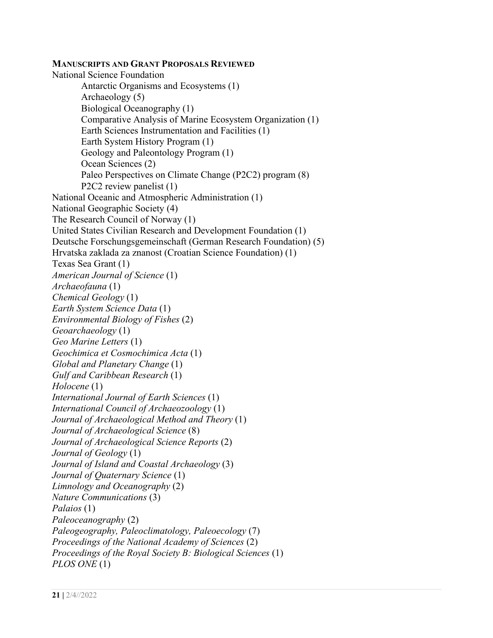**MANUSCRIPTS AND GRANT PROPOSALS REVIEWED** National Science Foundation Antarctic Organisms and Ecosystems (1) Archaeology (5) Biological Oceanography (1) Comparative Analysis of Marine Ecosystem Organization (1) Earth Sciences Instrumentation and Facilities (1) Earth System History Program (1) Geology and Paleontology Program (1) Ocean Sciences (2) Paleo Perspectives on Climate Change (P2C2) program (8) P2C2 review panelist (1) National Oceanic and Atmospheric Administration (1) National Geographic Society (4) The Research Council of Norway (1) United States Civilian Research and Development Foundation (1) Deutsche Forschungsgemeinschaft (German Research Foundation) (5) Hrvatska zaklada za znanost (Croatian Science Foundation) (1) Texas Sea Grant (1) *American Journal of Science* (1) *Archaeofauna* (1) *Chemical Geology* (1) *Earth System Science Data* (1) *Environmental Biology of Fishes* (2) *Geoarchaeology* (1) *Geo Marine Letters* (1) *Geochimica et Cosmochimica Acta* (1) *Global and Planetary Change* (1) *Gulf and Caribbean Research* (1) *Holocene* (1) *International Journal of Earth Sciences* (1) *International Council of Archaeozoology* (1) *Journal of Archaeological Method and Theory* (1) *Journal of Archaeological Science* (8) *Journal of Archaeological Science Reports* (2) *Journal of Geology* (1) *Journal of Island and Coastal Archaeology* (3) *Journal of Quaternary Science* (1) *Limnology and Oceanography* (2) *Nature Communications* (3) *Palaios* (1) *Paleoceanography* (2) *Paleogeography, Paleoclimatology, Paleoecology* (7) *Proceedings of the National Academy of Sciences* (2) *Proceedings of the Royal Society B: Biological Sciences* (1) *PLOS ONE* (1)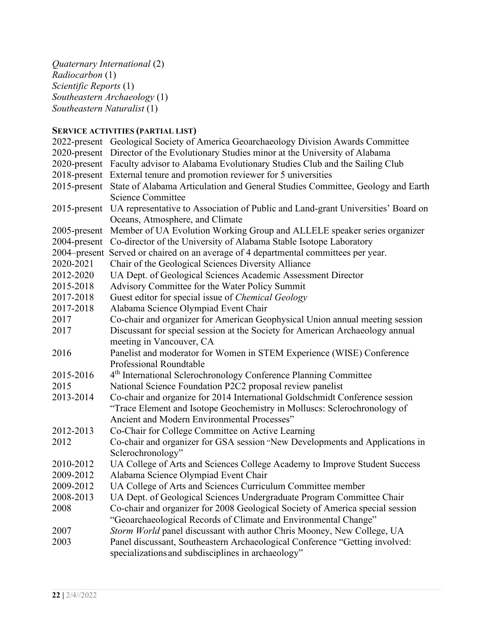*Quaternary International* (2) *Radiocarbon* (1) *Scientific Reports* (1) *Southeastern Archaeology* (1) *Southeastern Naturalist* (1)

# **SERVICE ACTIVITIES (PARTIAL LIST)**

|                 | 2022-present Geological Society of America Geoarchaeology Division Awards Committee           |
|-----------------|-----------------------------------------------------------------------------------------------|
| 2020-present    | Director of the Evolutionary Studies minor at the University of Alabama                       |
| $2020$ -present | Faculty advisor to Alabama Evolutionary Studies Club and the Sailing Club                     |
|                 | 2018-present External tenure and promotion reviewer for 5 universities                        |
| $2015$ -present | State of Alabama Articulation and General Studies Committee, Geology and Earth                |
|                 | Science Committee                                                                             |
|                 | 2015-present UA representative to Association of Public and Land-grant Universities' Board on |
|                 | Oceans, Atmosphere, and Climate                                                               |
| 2005-present    | Member of UA Evolution Working Group and ALLELE speaker series organizer                      |
| 2004-present    | Co-director of the University of Alabama Stable Isotope Laboratory                            |
| 2004–present    | Served or chaired on an average of 4 departmental committees per year.                        |
| 2020-2021       | Chair of the Geological Sciences Diversity Alliance                                           |
| 2012-2020       | UA Dept. of Geological Sciences Academic Assessment Director                                  |
| 2015-2018       | Advisory Committee for the Water Policy Summit                                                |
| 2017-2018       | Guest editor for special issue of Chemical Geology                                            |
| 2017-2018       | Alabama Science Olympiad Event Chair                                                          |
| 2017            | Co-chair and organizer for American Geophysical Union annual meeting session                  |
| 2017            | Discussant for special session at the Society for American Archaeology annual                 |
|                 | meeting in Vancouver, CA                                                                      |
| 2016            | Panelist and moderator for Women in STEM Experience (WISE) Conference                         |
|                 | Professional Roundtable                                                                       |
| 2015-2016       | 4 <sup>th</sup> International Sclerochronology Conference Planning Committee                  |
| 2015            | National Science Foundation P2C2 proposal review panelist                                     |
| 2013-2014       | Co-chair and organize for 2014 International Goldschmidt Conference session                   |
|                 | "Trace Element and Isotope Geochemistry in Molluscs: Sclerochronology of                      |
|                 | Ancient and Modern Environmental Processes"                                                   |
| 2012-2013       | Co-Chair for College Committee on Active Learning                                             |
| 2012            | Co-chair and organizer for GSA session "New Developments and Applications in                  |
|                 | Sclerochronology"                                                                             |
| 2010-2012       | UA College of Arts and Sciences College Academy to Improve Student Success                    |
| 2009-2012       | Alabama Science Olympiad Event Chair                                                          |
| 2009-2012       | UA College of Arts and Sciences Curriculum Committee member                                   |
| 2008-2013       | UA Dept. of Geological Sciences Undergraduate Program Committee Chair                         |
| 2008            | Co-chair and organizer for 2008 Geological Society of America special session                 |
|                 | "Geoarchaeological Records of Climate and Environmental Change"                               |
| 2007            | Storm World panel discussant with author Chris Mooney, New College, UA                        |
| 2003            | Panel discussant, Southeastern Archaeological Conference "Getting involved:                   |
|                 | specializations and subdisciplines in archaeology"                                            |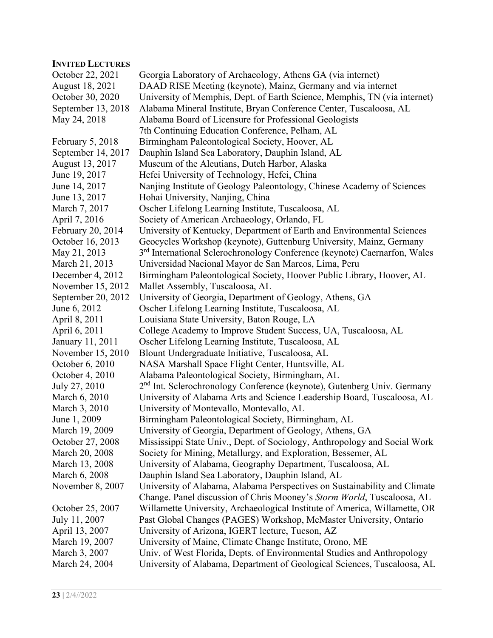## **INVITED LECTURES**

| нутнер еестемв     |                                                                                       |
|--------------------|---------------------------------------------------------------------------------------|
| October 22, 2021   | Georgia Laboratory of Archaeology, Athens GA (via internet)                           |
| August 18, 2021    | DAAD RISE Meeting (keynote), Mainz, Germany and via internet                          |
| October 30, 2020   | University of Memphis, Dept. of Earth Science, Memphis, TN (via internet)             |
| September 13, 2018 | Alabama Mineral Institute, Bryan Conference Center, Tuscaloosa, AL                    |
| May 24, 2018       | Alabama Board of Licensure for Professional Geologists                                |
|                    | 7th Continuing Education Conference, Pelham, AL                                       |
| February 5, 2018   | Birmingham Paleontological Society, Hoover, AL                                        |
| September 14, 2017 | Dauphin Island Sea Laboratory, Dauphin Island, AL                                     |
| August 13, 2017    | Museum of the Aleutians, Dutch Harbor, Alaska                                         |
| June 19, 2017      | Hefei University of Technology, Hefei, China                                          |
| June 14, 2017      | Nanjing Institute of Geology Paleontology, Chinese Academy of Sciences                |
| June 13, 2017      | Hohai University, Nanjing, China                                                      |
| March 7, 2017      | Oscher Lifelong Learning Institute, Tuscaloosa, AL                                    |
| April 7, 2016      | Society of American Archaeology, Orlando, FL                                          |
| February 20, 2014  | University of Kentucky, Department of Earth and Environmental Sciences                |
| October 16, 2013   | Geocycles Workshop (keynote), Guttenburg University, Mainz, Germany                   |
| May 21, 2013       | 3 <sup>rd</sup> International Sclerochronology Conference (keynote) Caernarfon, Wales |
| March 21, 2013     | Universidad Nacional Mayor de San Marcos, Lima, Peru                                  |
| December 4, 2012   | Birmingham Paleontological Society, Hoover Public Library, Hoover, AL                 |
| November 15, 2012  | Mallet Assembly, Tuscaloosa, AL                                                       |
| September 20, 2012 | University of Georgia, Department of Geology, Athens, GA                              |
| June 6, 2012       | Oscher Lifelong Learning Institute, Tuscaloosa, AL                                    |
| April 8, 2011      | Louisiana State University, Baton Rouge, LA                                           |
| April 6, 2011      | College Academy to Improve Student Success, UA, Tuscaloosa, AL                        |
| January 11, 2011   | Oscher Lifelong Learning Institute, Tuscaloosa, AL                                    |
| November 15, 2010  | Blount Undergraduate Initiative, Tuscaloosa, AL                                       |
| October 6, 2010    | NASA Marshall Space Flight Center, Huntsville, AL                                     |
| October 4, 2010    | Alabama Paleontological Society, Birmingham, AL                                       |
| July 27, 2010      | 2 <sup>nd</sup> Int. Sclerochronology Conference (keynote), Gutenberg Univ. Germany   |
| March 6, 2010      | University of Alabama Arts and Science Leadership Board, Tuscaloosa, AL               |
| March 3, 2010      | University of Montevallo, Montevallo, AL                                              |
| June 1, 2009       | Birmingham Paleontological Society, Birmingham, AL                                    |
| March 19, 2009     | University of Georgia, Department of Geology, Athens, GA                              |
| October 27, 2008   | Mississippi State Univ., Dept. of Sociology, Anthropology and Social Work             |
| March 20, 2008     | Society for Mining, Metallurgy, and Exploration, Bessemer, AL                         |
| March 13, 2008     | University of Alabama, Geography Department, Tuscaloosa, AL                           |
| March 6, 2008      | Dauphin Island Sea Laboratory, Dauphin Island, AL                                     |
| November 8, 2007   | University of Alabama, Alabama Perspectives on Sustainability and Climate             |
|                    | Change. Panel discussion of Chris Mooney's Storm World, Tuscaloosa, AL                |
| October 25, 2007   | Willamette University, Archaeological Institute of America, Willamette, OR            |
| July 11, 2007      | Past Global Changes (PAGES) Workshop, McMaster University, Ontario                    |
| April 13, 2007     | University of Arizona, IGERT lecture, Tucson, AZ                                      |
| March 19, 2007     | University of Maine, Climate Change Institute, Orono, ME                              |
| March 3, 2007      | Univ. of West Florida, Depts. of Environmental Studies and Anthropology               |
| March 24, 2004     | University of Alabama, Department of Geological Sciences, Tuscaloosa, AL              |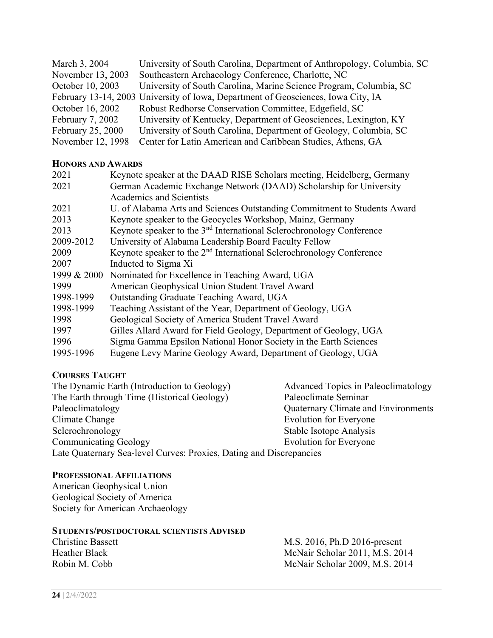| March 3, 2004     | University of South Carolina, Department of Anthropology, Columbia, SC            |  |
|-------------------|-----------------------------------------------------------------------------------|--|
| November 13, 2003 | Southeastern Archaeology Conference, Charlotte, NC                                |  |
| October 10, 2003  | University of South Carolina, Marine Science Program, Columbia, SC                |  |
|                   | February 13-14, 2003 University of Iowa, Department of Geosciences, Iowa City, IA |  |
| October 16, 2002  | Robust Redhorse Conservation Committee, Edgefield, SC                             |  |
| February 7, 2002  | University of Kentucky, Department of Geosciences, Lexington, KY                  |  |
| February 25, 2000 | University of South Carolina, Department of Geology, Columbia, SC                 |  |
| November 12, 1998 | Center for Latin American and Caribbean Studies, Athens, GA                       |  |

#### **HONORS AND AWARDS**

| Keynote speaker at the DAAD RISE Scholars meeting, Heidelberg, Germany           |
|----------------------------------------------------------------------------------|
| German Academic Exchange Network (DAAD) Scholarship for University               |
| Academics and Scientists                                                         |
| U. of Alabama Arts and Sciences Outstanding Commitment to Students Award         |
| Keynote speaker to the Geocycles Workshop, Mainz, Germany                        |
| Keynote speaker to the 3 <sup>nd</sup> International Sclerochronology Conference |
| University of Alabama Leadership Board Faculty Fellow                            |
| Keynote speaker to the 2 <sup>nd</sup> International Sclerochronology Conference |
| Inducted to Sigma Xi                                                             |
| Nominated for Excellence in Teaching Award, UGA                                  |
| American Geophysical Union Student Travel Award                                  |
| Outstanding Graduate Teaching Award, UGA                                         |
| Teaching Assistant of the Year, Department of Geology, UGA                       |
| Geological Society of America Student Travel Award                               |
| Gilles Allard Award for Field Geology, Department of Geology, UGA                |
| Sigma Gamma Epsilon National Honor Society in the Earth Sciences                 |
| Eugene Levy Marine Geology Award, Department of Geology, UGA                     |
|                                                                                  |

## **COURSES TAUGHT**

| The Dynamic Earth (Introduction to Geology)                         | Advanced Topics in Paleoclimatology |  |
|---------------------------------------------------------------------|-------------------------------------|--|
| The Earth through Time (Historical Geology)                         | Paleoclimate Seminar                |  |
| Paleoclimatology                                                    | Quaternary Climate and Environments |  |
| Climate Change                                                      | <b>Evolution for Everyone</b>       |  |
| Sclerochronology                                                    | Stable Isotope Analysis             |  |
| <b>Communicating Geology</b>                                        | <b>Evolution for Everyone</b>       |  |
| Late Quaternary Sea-level Curves: Proxies, Dating and Discrepancies |                                     |  |

# **PROFESSIONAL AFFILIATIONS**

American Geophysical Union Geological Society of America Society for American Archaeology

# **STUDENTS/POSTDOCTORAL SCIENTISTS ADVISED**

Christine Bassett<br>
Heather Black<br>
M.S. 2016, Ph.D 2016-present<br>
McNair Scholar 2011, M.S. 20 Heather Black McNair Scholar 2011, M.S. 2014<br>Robin M. Cobb McNair Scholar 2009, M.S. 2014 McNair Scholar 2009, M.S. 2014